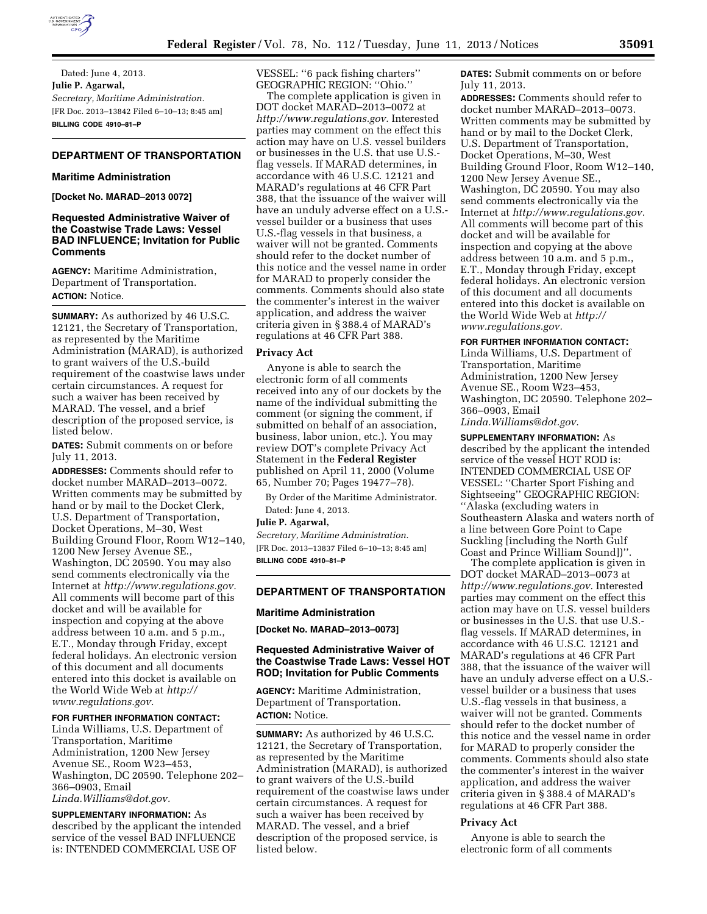

Dated: June 4, 2013. **Julie P. Agarwal,**  *Secretary, Maritime Administration.*  [FR Doc. 2013–13842 Filed 6–10–13; 8:45 am] **BILLING CODE 4910–81–P** 

# **DEPARTMENT OF TRANSPORTATION**

### **Maritime Administration**

**[Docket No. MARAD–2013 0072]** 

## **Requested Administrative Waiver of the Coastwise Trade Laws: Vessel BAD INFLUENCE; Invitation for Public Comments**

**AGENCY:** Maritime Administration, Department of Transportation. **ACTION:** Notice.

**SUMMARY:** As authorized by 46 U.S.C. 12121, the Secretary of Transportation, as represented by the Maritime Administration (MARAD), is authorized to grant waivers of the U.S.-build requirement of the coastwise laws under certain circumstances. A request for such a waiver has been received by MARAD. The vessel, and a brief description of the proposed service, is listed below.

**DATES:** Submit comments on or before July 11, 2013.

**ADDRESSES:** Comments should refer to docket number MARAD–2013–0072. Written comments may be submitted by hand or by mail to the Docket Clerk, U.S. Department of Transportation, Docket Operations, M–30, West Building Ground Floor, Room W12–140, 1200 New Jersey Avenue SE., Washington, DC 20590. You may also send comments electronically via the Internet at *[http://www.regulations.gov.](http://www.regulations.gov)*  All comments will become part of this docket and will be available for inspection and copying at the above address between 10 a.m. and 5 p.m., E.T., Monday through Friday, except federal holidays. An electronic version of this document and all documents entered into this docket is available on the World Wide Web at *[http://](http://www.regulations.gov)  [www.regulations.gov.](http://www.regulations.gov)* 

### **FOR FURTHER INFORMATION CONTACT:**

Linda Williams, U.S. Department of Transportation, Maritime Administration, 1200 New Jersey Avenue SE., Room W23–453, Washington, DC 20590. Telephone 202– 366–0903, Email *[Linda.Williams@dot.gov.](mailto:Linda.Williams@dot.gov)* 

**SUPPLEMENTARY INFORMATION:** As described by the applicant the intended service of the vessel BAD INFLUENCE is: INTENDED COMMERCIAL USE OF

VESSEL: ''6 pack fishing charters'' GEOGRAPHIC REGION: ''Ohio.''

The complete application is given in DOT docket MARAD–2013–0072 at *[http://www.regulations.gov.](http://www.regulations.gov)* Interested parties may comment on the effect this action may have on U.S. vessel builders or businesses in the U.S. that use U.S. flag vessels. If MARAD determines, in accordance with 46 U.S.C. 12121 and MARAD's regulations at 46 CFR Part 388, that the issuance of the waiver will have an unduly adverse effect on a U.S. vessel builder or a business that uses U.S.-flag vessels in that business, a waiver will not be granted. Comments should refer to the docket number of this notice and the vessel name in order for MARAD to properly consider the comments. Comments should also state the commenter's interest in the waiver application, and address the waiver criteria given in § 388.4 of MARAD's regulations at 46 CFR Part 388.

#### **Privacy Act**

Anyone is able to search the electronic form of all comments received into any of our dockets by the name of the individual submitting the comment (or signing the comment, if submitted on behalf of an association, business, labor union, etc.). You may review DOT's complete Privacy Act Statement in the **Federal Register**  published on April 11, 2000 (Volume 65, Number 70; Pages 19477–78).

By Order of the Maritime Administrator. Dated: June 4, 2013.

#### **Julie P. Agarwal,**

*Secretary, Maritime Administration.*  [FR Doc. 2013–13837 Filed 6–10–13; 8:45 am] **BILLING CODE 4910–81–P** 

### **DEPARTMENT OF TRANSPORTATION**

#### **Maritime Administration**

**[Docket No. MARAD–2013–0073]** 

### **Requested Administrative Waiver of the Coastwise Trade Laws: Vessel HOT ROD; Invitation for Public Comments**

**AGENCY:** Maritime Administration, Department of Transportation. **ACTION:** Notice.

**SUMMARY:** As authorized by 46 U.S.C. 12121, the Secretary of Transportation, as represented by the Maritime Administration (MARAD), is authorized to grant waivers of the U.S.-build requirement of the coastwise laws under certain circumstances. A request for such a waiver has been received by MARAD. The vessel, and a brief description of the proposed service, is listed below.

**DATES:** Submit comments on or before July 11, 2013.

**ADDRESSES:** Comments should refer to docket number MARAD–2013–0073. Written comments may be submitted by hand or by mail to the Docket Clerk, U.S. Department of Transportation, Docket Operations, M–30, West Building Ground Floor, Room W12–140, 1200 New Jersey Avenue SE., Washington, DC 20590. You may also send comments electronically via the Internet at *[http://www.regulations.gov.](http://www.regulations.gov)*  All comments will become part of this docket and will be available for inspection and copying at the above address between 10 a.m. and 5 p.m., E.T., Monday through Friday, except federal holidays. An electronic version of this document and all documents entered into this docket is available on the World Wide Web at *[http://](http://www.regulations.gov)  [www.regulations.gov.](http://www.regulations.gov)* 

#### **FOR FURTHER INFORMATION CONTACT:**

Linda Williams, U.S. Department of Transportation, Maritime Administration, 1200 New Jersey Avenue SE., Room W23–453, Washington, DC 20590. Telephone 202– 366–0903, Email *[Linda.Williams@dot.gov.](mailto:Linda.Williams@dot.gov)* 

**SUPPLEMENTARY INFORMATION:** As

described by the applicant the intended service of the vessel HOT ROD is: INTENDED COMMERCIAL USE OF VESSEL: ''Charter Sport Fishing and Sightseeing'' GEOGRAPHIC REGION: ''Alaska (excluding waters in Southeastern Alaska and waters north of a line between Gore Point to Cape Suckling [including the North Gulf Coast and Prince William Sound])''.

The complete application is given in DOT docket MARAD–2013–0073 at *[http://www.regulations.gov.](http://www.regulations.gov)* Interested parties may comment on the effect this action may have on U.S. vessel builders or businesses in the U.S. that use U.S. flag vessels. If MARAD determines, in accordance with 46 U.S.C. 12121 and MARAD's regulations at 46 CFR Part 388, that the issuance of the waiver will have an unduly adverse effect on a U.S. vessel builder or a business that uses U.S.-flag vessels in that business, a waiver will not be granted. Comments should refer to the docket number of this notice and the vessel name in order for MARAD to properly consider the comments. Comments should also state the commenter's interest in the waiver application, and address the waiver criteria given in § 388.4 of MARAD's regulations at 46 CFR Part 388.

### **Privacy Act**

Anyone is able to search the electronic form of all comments